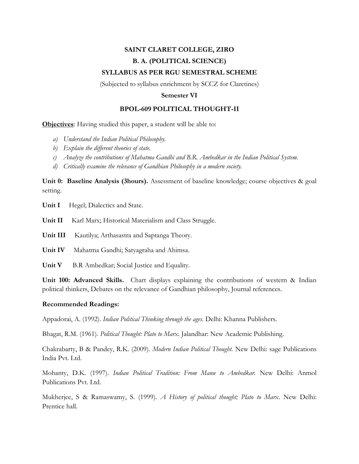## **SAINT CLARET COLLEGE, ZIRO B. A. (POLITICAL SCIENCE) SYLLABUS AS PER RGU SEMESTRAL SCHEME**

(Subjected to syllabus enrichment by SCCZ for Claretines)

## **Semester VI**

## **BPOL-609 POLITICAL THOUGHT-II**

**Objectives**: Having studied this paper, a student will be able to:

- *a) Understand the Indian Political Philosophy.*
- *b) Explain the different theories of state.*
- *c) Analyze the contributions of Mahatma Gandhi and B.R. Ambedkar in the Indian Political System.*
- *d) Critically examine the relevance of Gandhian Philosophy in a modern society.*

**Unit 0: Baseline Analysis (3hours).** Assessment of baseline knowledge; course objectives & goal setting.

Unit I Hegel; Dialectics and State.

**Unit II** Karl Marx; Historical Materialism and Class Struggle.

**Unit III** Kautilya; Arthasastra and Saptanga Theory.

**Unit IV** Mahatma Gandhi; Satyagraha and Ahimsa.

Unit V B.R Ambedkar; Social Justice and Equality.

**Unit 100: Advanced Skills.** Chart displays explaining the contributions of western & Indian political thinkers, Debates on the relevance of Gandhian philosophy, Journal references.

## **Recommended Readings:**

Appadorai, A. (1992). *Indian Political Thinking through the ages*. Delhi: Khanna Publishers.

Bhagat, R.M. (1961). *Political Thought: Plato to Marx*. Jalandhar: New Academic Publishing.

Chakrabarty, B & Pandey, R.K. (2009). *Modern Indian Political Thought.* New Delhi: sage Publications India Pvt. Ltd.

Mohanty, D.K. (1997). *Indian Political Tradition: From Manu to Ambedkar.* New Delhi: Anmol Publications Pvt. Ltd.

Mukherjee, S & Ramaswamy, S. (1999). *A History of political thought; Plato to Marx*. New Delhi: Prentice hall.